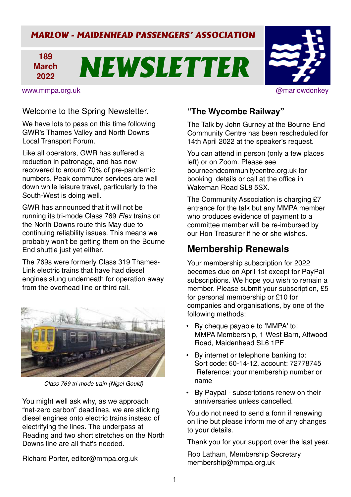## *MARLOW - MAIDENHEAD PASSENGERS' ASSOCIATION*

#### **189 March 2022** *NEWSLETTER*

www.mmpa.org.uk @marlowdonkey

#### Welcome to the Spring Newsletter.

We have lots to pass on this time following GWR's Thames Valley and North Downs Local Transport Forum.

Like all operators, GWR has suffered a reduction in patronage, and has now recovered to around 70% of pre-pandemic numbers. Peak commuter services are well down while leisure travel, particularly to the South-West is doing well.

GWR has announced that it will not be running its tri-mode Class 769 Flex trains on the North Downs route this May due to continuing reliability issues. This means we probably won't be getting them on the Bourne End shuttle just yet either.

The 769s were formerly Class 319 Thames-Link electric trains that have had diesel engines slung underneath for operation away from the overhead line or third rail.



Class 769 tri-mode train (Nigel Gould)

You might well ask why, as we approach "net-zero carbon" deadlines, we are sticking diesel engines onto electric trains instead of electrifying the lines. The underpass at Reading and two short stretches on the North Downs line are all that's needed.

Richard Porter, editor@mmpa.org.uk

#### **"The Wycombe Railway"**

The Talk by John Gurney at the Bourne End Community Centre has been rescheduled for 14th April 2022 at the speaker's request.

You can attend in person (only a few places left) or on Zoom. Please see bourneendcommunitycentre.org.uk for booking details or call at the office in Wakeman Road SL8 5SX.

The Community Association is charging £7 entrance for the talk but any MMPA member who produces evidence of payment to a committee member will be re-imbursed by our Hon Treasurer if he or she wishes.

## **Membership Renewals**

Your membership subscription for 2022 becomes due on April 1st except for PayPal subscriptions. We hope you wish to remain a member. Please submit your subscription, £5 for personal membership or £10 for companies and organisations, by one of the following methods:

- By cheque payable to 'MMPA' to: MMPA Membership, 1 West Barn, Altwood Road, Maidenhead SL6 1PF
- By internet or telephone banking to: Sort code: 60-14-12, account: 72778745 Reference: your membership number or name
- By Paypal subscriptions renew on their anniversaries unless cancelled.

You do not need to send a form if renewing on line but please inform me of any changes to your details.

Thank you for your support over the last year.

Rob Latham, Membership Secretary membership@mmpa.org.uk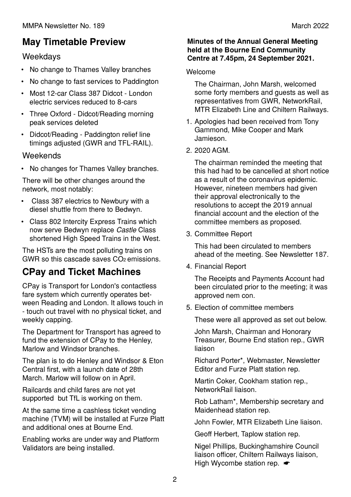# **May Timetable Preview**

### Weekdays

- No change to Thames Valley branches
- No change to fast services to Paddington
- Most 12-car Class 387 Didcot London electric services reduced to 8-cars
- Three Oxford Didcot/Reading morning peak services deleted
- Didcot/Reading Paddington relief line timings adjusted (GWR and TFL-RAIL).

#### Weekends

• No changes for Thames Valley branches.

There will be other changes around the network, most notably:

- Class 387 electrics to Newbury with a diesel shuttle from there to Bedwyn.
- Class 802 Intercity Express Trains which now serve Bedwyn replace Castle Class shortened High Speed Trains in the West.

The HSTs are the most polluting trains on GWR so this cascade saves CO<sub>2</sub> emissions.

# **CPay and Ticket Machines**

CPay is Transport for London's contactless fare system which currently operates between Reading and London. It allows touch in - touch out travel with no physical ticket, and weekly capping.

The Department for Transport has agreed to fund the extension of CPay to the Henley, Marlow and Windsor branches.

The plan is to do Henley and Windsor & Eton Central first, with a launch date of 28th March. Marlow will follow on in April.

Railcards and child fares are not yet supported but TfL is working on them.

At the same time a cashless ticket vending machine (TVM) will be installed at Furze Platt and additional ones at Bourne End.

Enabling works are under way and Platform Validators are being installed.

#### **Minutes of the Annual General Meeting held at the Bourne End Community Centre at 7.45pm, 24 September 2021.**

#### Welcome

The Chairman, John Marsh, welcomed some forty members and guests as well as representatives from GWR, NetworkRail, MTR Elizabeth Line and Chiltern Railways.

- 1. Apologies had been received from Tony Gammond, Mike Cooper and Mark Jamieson.
- 2. 2020 AGM.

The chairman reminded the meeting that this had had to be cancelled at short notice as a result of the coronavirus epidemic. However, nineteen members had given their approval electronically to the resolutions to accept the 2019 annual financial account and the election of the committee members as proposed.

3. Committee Report

This had been circulated to members ahead of the meeting. See Newsletter 187.

4. Financial Report

The Receipts and Payments Account had been circulated prior to the meeting; it was approved nem con.

5. Election of committee members

These were all approved as set out below.

John Marsh, Chairman and Honorary Treasurer, Bourne End station rep., GWR liaison

Richard Porter\*, Webmaster, Newsletter Editor and Furze Platt station rep.

Martin Coker, Cookham station rep., NetworkRail liaison.

Rob Latham\*, Membership secretary and Maidenhead station rep.

John Fowler, MTR Elizabeth Line liaison.

Geoff Herbert, Taplow station rep.

Nigel Phillips, Buckinghamshire Council liaison officer, Chiltern Railways liaison, High Wycombe station rep.  $\bullet$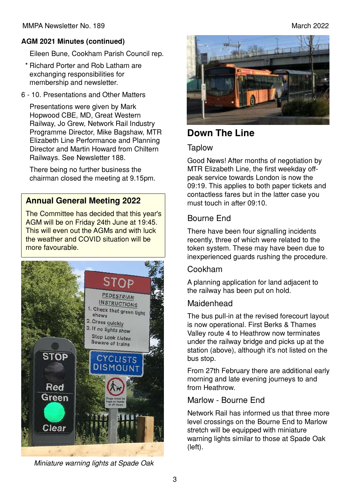#### **AGM 2021 Minutes (continued)**

Eileen Bune, Cookham Parish Council rep.

- \* Richard Porter and Rob Latham are exchanging responsibilities for membership and newsletter.
- 6 10. Presentations and Other Matters

Presentations were given by Mark Hopwood CBE, MD, Great Western Railway, Jo Grew, Network Rail Industry Programme Director, Mike Bagshaw, MTR Elizabeth Line Performance and Planning Director and Martin Howard from Chiltern Railways. See Newsletter 188.

There being no further business the chairman closed the meeting at 9.15pm.

#### **Annual General Meeting 2022**

The Committee has decided that this year's AGM will be on Friday 24th June at 19:45. This will even out the AGMs and with luck the weather and COVID situation will be more favourable.





## **Down The Line**

#### **Taplow**

Good News! After months of negotiation by MTR Elizabeth Line, the first weekday offpeak service towards London is now the 09:19. This applies to both paper tickets and contactless fares but in the latter case you must touch in after 09:10.

#### Bourne End

There have been four signalling incidents recently, three of which were related to the token system. These may have been due to inexperienced guards rushing the procedure.

#### Cookham

A planning application for land adjacent to the railway has been put on hold.

#### **Maidenhead**

The bus pull-in at the revised forecourt layout is now operational. First Berks & Thames Valley route 4 to Heathrow now terminates under the railway bridge and picks up at the station (above), although it's not listed on the bus stop.

From 27th February there are additional early morning and late evening journeys to and from Heathrow.

#### Marlow - Bourne End

Network Rail has informed us that three more level crossings on the Bourne End to Marlow stretch will be equipped with miniature warning lights similar to those at Spade Oak (left).

Miniature warning lights at Spade Oak